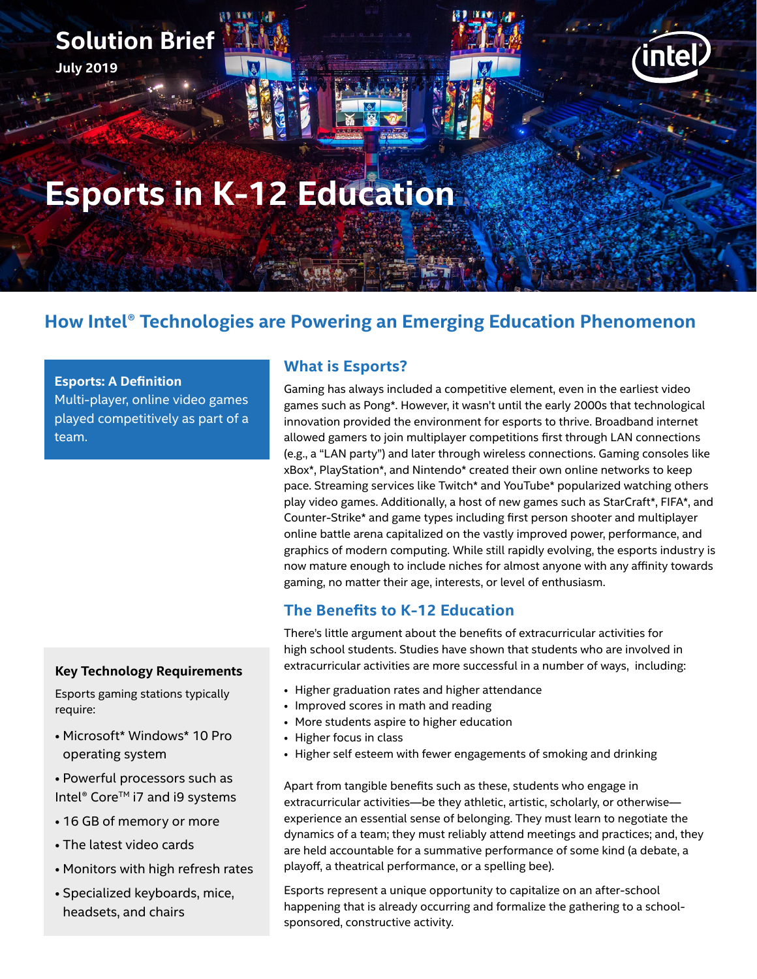# **Esports in K-12 Education**

# **How Intel® Technologies are Powering an Emerging Education Phenomenon**

#### **Esports: A Definition**

**Solution Brief**

**July 2019**

Multi-player, online video games played competitively as part of a team.

# **Key Technology Requirements**

Esports gaming stations typically require:

- Microsoft\* Windows\* 10 Pro operating system
- Powerful processors such as Intel® Core™ i7 and i9 systems
- 16 GB of memory or more
- The latest video cards
- Monitors with high refresh rates
- Specialized keyboards, mice, headsets, and chairs

## **What is Esports?**

Gaming has always included a competitive element, even in the earliest video games such as Pong\*. However, it wasn't until the early 2000s that technological innovation provided the environment for esports to thrive. Broadband internet allowed gamers to join multiplayer competitions first through LAN connections (e.g., a "LAN party") and later through wireless connections. Gaming consoles like xBox\*, PlayStation\*, and Nintendo\* created their own online networks to keep pace. Streaming services like Twitch\* and YouTube\* popularized watching others play video games. Additionally, a host of new games such as StarCraft\*, FIFA\*, and Counter-Strike\* and game types including first person shooter and multiplayer online battle arena capitalized on the vastly improved power, performance, and graphics of modern computing. While still rapidly evolving, the esports industry is now mature enough to include niches for almost anyone with any affinity towards gaming, no matter their age, interests, or level of enthusiasm.

nte

# **The Benefits to K-12 Education**

There's little argument about the benefits of extracurricular activities for high school students. Studies have shown that students who are involved in extracurricular activities are more successful in a number of ways, including:

- Higher graduation rates and higher attendance
- Improved scores in math and reading
- More students aspire to higher education
- Higher focus in class
- Higher self esteem with fewer engagements of smoking and drinking

Apart from tangible benefits such as these, students who engage in extracurricular activities—be they athletic, artistic, scholarly, or otherwise experience an essential sense of belonging. They must learn to negotiate the dynamics of a team; they must reliably attend meetings and practices; and, they are held accountable for a summative performance of some kind (a debate, a playoff, a theatrical performance, or a spelling bee).

Esports represent a unique opportunity to capitalize on an after-school happening that is already occurring and formalize the gathering to a schoolsponsored, constructive activity.